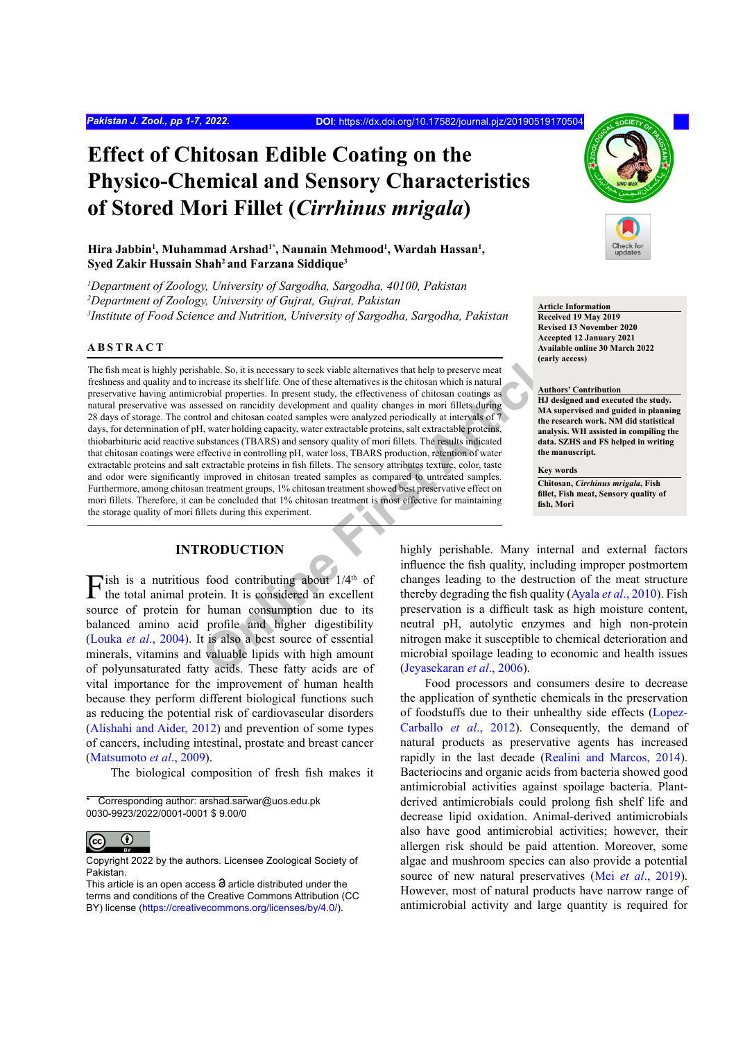# **Effect of Chitosan Edible Coating on the Physico-Chemical and Sensory Characteristics of Stored Mori Fillet (***Cirrhinus mrigala***)**

# Hira Jabbin<sup>1</sup>, Muhammad Arshad<sup>1\*</sup>, Naunain Mehmood<sup>1</sup>, Wardah Hassan<sup>1</sup>, **Syed Zakir Hussain Shah2 and Farzana Siddique3**

*1 Department of Zoology, University of Sargodha, Sargodha, 40100, Pakistan 2 Department of Zoology, University of Gujrat, Gujrat, Pakistan 3 Institute of Food Science and Nutrition, University of Sargodha, Sargodha, Pakistan*

# **ABSTRACT**

hable. So, it is necessary to seek viable alternatives that help to preserve meat<br>increase its shelf life. One of these alternatives is the chitosan which is natural<br>costad on rancidity development and quality changes in m The fish meat is highly perishable. So, it is necessary to seek viable alternatives that help to preserve meat freshness and quality and to increase its shelf life. One of these alternatives is the chitosan which is natural preservative having antimicrobial properties. In present study, the effectiveness of chitosan coatings as natural preservative was assessed on rancidity development and quality changes in mori fillets during 28 days of storage. The control and chitosan coated samples were analyzed periodically at intervals of 7 days, for determination of pH, water holding capacity, water extractable proteins, salt extractable proteins, thiobarbituric acid reactive substances (TBARS) and sensory quality of mori fillets. The results indicated that chitosan coatings were effective in controlling pH, water loss, TBARS production, retention of water extractable proteins and salt extractable proteins in fish fillets. The sensory attributes texture, color, taste and odor were significantly improved in chitosan treated samples as compared to untreated samples. Furthermore, among chitosan treatment groups, 1% chitosan treatment showed best preservative effect on mori fillets. Therefore, it can be concluded that 1% chitosan treatment is most effective for maintaining the storage quality of mori fillets during this experiment.

# **INTRODUCTION**

 $\Gamma$ ish is a nutritious food contributing about  $1/4$ <sup>th</sup> of the total animal protein. It is considered an excellent source of protein for human consumption due to its balanced amino acid profile and higher digestibility (Louka *et al*[., 2004](#page-6-0)). It is also a best source of essential minerals, vitamins and valuable lipids with high amount of polyunsaturated fatty acids. These fatty acids are of vital importance for the improvement of human health because they perform different biological functions such as reducing the potential risk of cardiovascular disorders [\(Alishahi and Aider, 2012](#page-4-0)) and prevention of some types of cancers, including intestinal, prostate and breast cancer [\(Matsumoto](#page-6-1) *et al*., 2009).

The biological composition of fresh fish makes it

\*Corresponding author: arshad.sarwar@uos.edu.pk 0030-9923/2022/0001-0001 \$ 9.00/0



Copyright 2022 by the authors. Licensee Zoological Society of Pakistan.



**Article Information Received 19 May 2019 Revised 13 November 2020 Accepted 12 January 2021 Available online 30 March 2022 (early access)**

#### **Authors' Contribution**

**HJ designed and executed the study. MA supervised and guided in planning the research work. NM did statistical analysis. WH assisted in compiling the data. SZHS and FS helped in writing the manuscript.** 

**Key words Chitosan,** *Cirrhinus mrigala***, Fish fillet, Fish meat, Sensory quality of fish, Mori**

highly perishable. Many internal and external factors influence the fish quality, including improper postmortem changes leading to the destruction of the meat structure thereby degrading the fish quality (Ayala *et al*., 2010). Fish preservation is a difficult task as high moisture content, neutral pH, autolytic enzymes and high non-protein nitrogen make it susceptible to chemical deterioration and microbial spoilage leading to economic and health issues (Jeyasekaran *et al*., 2006).

Food processors and consumers desire to decrease the application of synthetic chemicals in the preservation of foodstuffs due to their unhealthy side effects (Lopez-Carballo *et al*., 2012). Consequently, the demand of natural products as preservative agents has increased rapidly in the last decade ([Realini and Marcos, 2014\)](#page-6-2). Bacteriocins and organic acids from bacteria showed good antimicrobial activities against spoilage bacteria. Plantderived antimicrobials could prolong fish shelf life and decrease lipid oxidation. Animal-derived antimicrobials also have good antimicrobial activities; however, their allergen risk should be paid attention. Moreover, some algae and mushroom species can also provide a potential source of new natural preservatives (Mei *et al*[., 2019\)](#page-6-3). However, most of natural products have narrow range of antimicrobial activity and large quantity is required for

This article is an open access  $\Theta$  article distributed under the terms and conditions of the Creative Commons Attribution (CC BY) license (https://creativecommons.org/licenses/by/4.0/).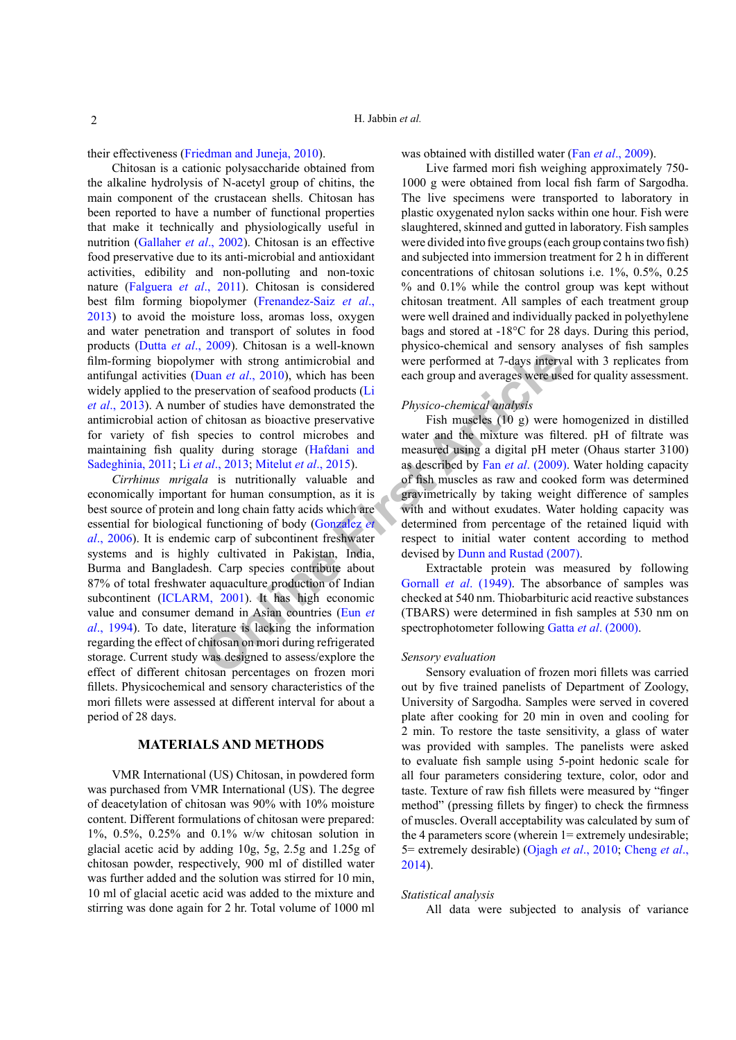their effectiveness [\(Friedman and Juneja, 2010\)](#page-5-1).

Chitosan is a cationic polysaccharide obtained from the alkaline hydrolysis of N-acetyl group of chitins, the main component of the crustacean shells. Chitosan has been reported to have a number of functional properties that make it technically and physiologically useful in nutrition ([Gallaher](#page-5-2) *et al*., 2002). Chitosan is an effective food preservative due to its anti-microbial and antioxidant activities, edibility and non-polluting and non-toxic nature (Falguera *et al*., 2011). Chitosan is considered best film forming biopolymer (Frenandez-Saiz *et al*., 2013) to avoid the moisture loss, aromas loss, oxygen and water penetration and transport of solutes in food products (Dutta *et al*[., 2009\)](#page-5-3). Chitosan is a well-known film-forming biopolymer with strong antimicrobial and antifungal activities (Duan *et al*., 2010), which has been widely applied to the preservation of seafood products (Li *et al*., [2013](#page-6-4)). A number of studies have demonstrated the antimicrobial action of chitosan as bioactive preservative for variety of fish species to control microbes and maintaining fish quality during storage (Hafdani and [Sadeghinia, 2011;](#page-5-5) Li *et al*., 2013; Mitelut *et al*., 2015).

**Example 12** and the informal and the station of seafood products (Li<br>
The with strong antimicrobial and were performed at 7-days intervy<br> **Ouan** *et al.*, 2010), which has been each group and averages were use<br>
restrictio *Cirrhinus mrigala* is nutritionally valuable and economically important for human consumption, as it is best source of protein and long chain fatty acids which are essential for biological functioning of body (Gonzalez *et al*[., 2006](#page-5-6)). It is endemic carp of subcontinent freshwater systems and is highly cultivated in Pakistan, India, Burma and Bangladesh. Carp species contribute about 87% of total freshwater aquaculture production of Indian subcontinent ([ICLARM, 2001](#page-5-7)). It has high economic value and consumer demand in Asian countries (Eun *et al*[., 1994\)](#page-5-8). To date, literature is lacking the information regarding the effect of chitosan on mori during refrigerated storage. Current study was designed to assess/explore the effect of different chitosan percentages on frozen mori fillets. Physicochemical and sensory characteristics of the mori fillets were assessed at different interval for about a period of 28 days.

## **MATERIALS AND METHODS**

VMR International (US) Chitosan, in powdered form was purchased from VMR International (US). The degree of deacetylation of chitosan was 90% with 10% moisture content. Different formulations of chitosan were prepared: 1%, 0.5%, 0.25% and 0.1% w/w chitosan solution in glacial acetic acid by adding 10g, 5g, 2.5g and 1.25g of chitosan powder, respectively, 900 ml of distilled water was further added and the solution was stirred for 10 min, 10 ml of glacial acetic acid was added to the mixture and stirring was done again for 2 hr. Total volume of 1000 ml was obtained with distilled water (Fan *et al*[., 2009](#page-5-9)).

Live farmed mori fish weighing approximately 750- 1000 g were obtained from local fish farm of Sargodha. The live specimens were transported to laboratory in plastic oxygenated nylon sacks within one hour. Fish were slaughtered, skinned and gutted in laboratory. Fish samples were divided into five groups (each group contains two fish) and subjected into immersion treatment for 2 h in different concentrations of chitosan solutions i.e. 1%, 0.5%, 0.25 % and 0.1% while the control group was kept without chitosan treatment. All samples of each treatment group were well drained and individually packed in polyethylene bags and stored at -18°C for 28 days. During this period, physico-chemical and sensory analyses of fish samples were performed at 7-days interval with 3 replicates from each group and averages were used for quality assessment.

## *Physico-chemical analysis*

Fish muscles (10 g) were homogenized in distilled water and the mixture was filtered. pH of filtrate was measured using a digital pH meter (Ohaus starter 3100) as described by Fan *et al*. (2009). Water holding capacity of fish muscles as raw and cooked form was determined gravimetrically by taking weight difference of samples with and without exudates. Water holding capacity was determined from percentage of the retained liquid with respect to initial water content according to method devised by Dunn and Rustad (2007).

Extractable protein was measured by following Gornall *et al*. (1949). The absorbance of samples was checked at 540 nm. Thiobarbituric acid reactive substances (TBARS) were determined in fish samples at 530 nm on spectrophotometer following Gatta *et al*[. \(2000\)](#page-5-12).

#### *Sensory evaluation*

Sensory evaluation of frozen mori fillets was carried out by five trained panelists of Department of Zoology, University of Sargodha. Samples were served in covered plate after cooking for 20 min in oven and cooling for 2 min. To restore the taste sensitivity, a glass of water was provided with samples. The panelists were asked to evaluate fish sample using 5-point hedonic scale for all four parameters considering texture, color, odor and taste. Texture of raw fish fillets were measured by "finger method" (pressing fillets by finger) to check the firmness of muscles. Overall acceptability was calculated by sum of the 4 parameters score (wherein 1= extremely undesirable; 5= extremely desirable) (Ojagh *et al*[., 2010;](#page-6-5) [Cheng](#page-5-13) *et al*., [2014\)](#page-5-13).

## *Statistical analysis*

All data were subjected to analysis of variance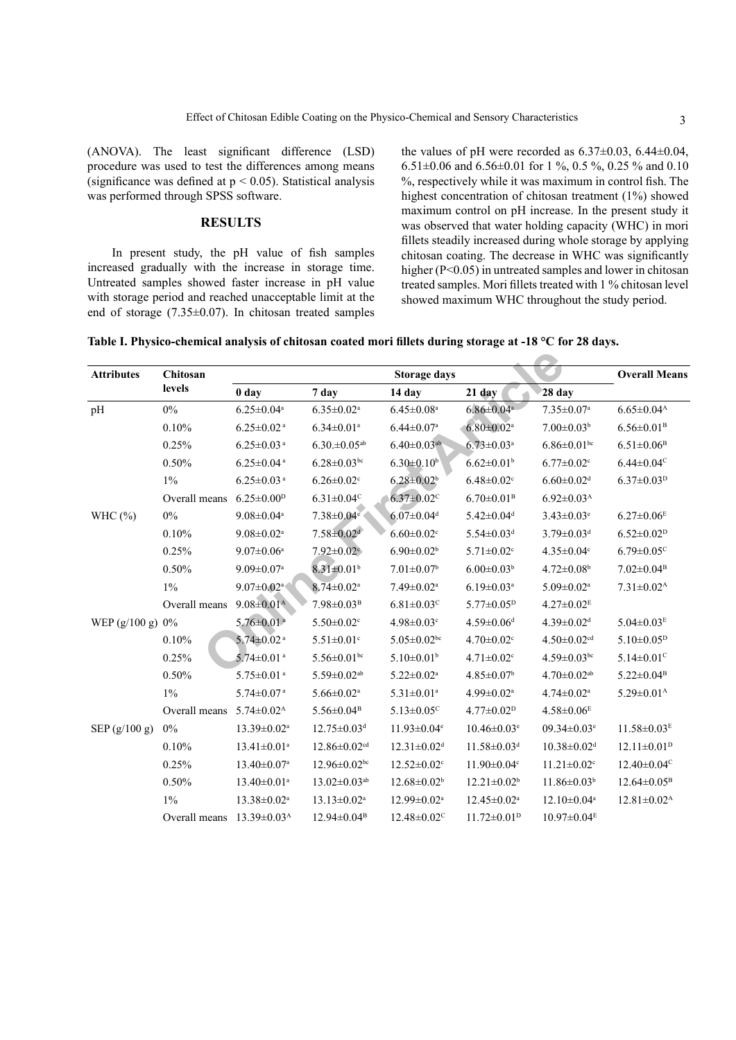(ANOVA). The least significant difference (LSD) procedure was used to test the differences among means (significance was defined at  $p < 0.05$ ). Statistical analysis was performed through SPSS software.

# **RESULTS**

In present study, the pH value of fish samples increased gradually with the increase in storage time. Untreated samples showed faster increase in pH value with storage period and reached unacceptable limit at the end of storage (7.35±0.07). In chitosan treated samples

the values of pH were recorded as  $6.37\pm0.03$ ,  $6.44\pm0.04$ , 6.51 $\pm$ 0.06 and 6.56 $\pm$ 0.01 for 1 %, 0.5 %, 0.25 % and 0.10 %, respectively while it was maximum in control fish. The highest concentration of chitosan treatment (1%) showed maximum control on pH increase. In the present study it was observed that water holding capacity (WHC) in mori fillets steadily increased during whole storage by applying chitosan coating. The decrease in WHC was significantly higher (P<0.05) in untreated samples and lower in chitosan treated samples. Mori fillets treated with 1 % chitosan level showed maximum WHC throughout the study period.

<span id="page-2-0"></span>**Table I. Physico-chemical analysis of chitosan coated mori fillets during storage at -18 °C for 28 days.**

| <b>Attributes</b>  | Chitosan<br>levels | <b>Storage days</b>           |                                |                               |                               |                               | <b>Overall Means</b>          |
|--------------------|--------------------|-------------------------------|--------------------------------|-------------------------------|-------------------------------|-------------------------------|-------------------------------|
|                    |                    | 0 <sub>day</sub>              | 7 day                          | 14 day                        | $21$ day                      | 28 day                        |                               |
| pH                 | $0\%$              | $6.25 \pm 0.04$ <sup>a</sup>  | $6.35 \pm 0.02$ <sup>a</sup>   | $6.45 \pm 0.08$ <sup>a</sup>  | $6.86 \pm 0.04$ <sup>a</sup>  | $7.35 \pm 0.07$ <sup>a</sup>  | $6.65 \pm 0.04^{\rm A}$       |
|                    | 0.10%              | $6.25 \pm 0.02$ <sup>a</sup>  | $6.34 \pm 0.01$ <sup>a</sup>   | $6.44 \pm 0.07$ <sup>a</sup>  | $6.80 \pm 0.02$ <sup>a</sup>  | $7.00 \pm 0.03^b$             | $6.56 \pm 0.01^{\rm B}$       |
|                    | 0.25%              | $6.25 \pm 0.03$ <sup>a</sup>  | $6.30 \pm 0.05$ <sup>ab</sup>  | $6.40 \pm 0.03$ <sup>ab</sup> | $6.73 \pm 0.03$ <sup>a</sup>  | $6.86 \pm 0.01$ bc            | $6.51 \pm 0.06^{\rm B}$       |
|                    | 0.50%              | $6.25 \pm 0.04$ <sup>a</sup>  | $6.28 \pm 0.03$ bc             | $6.30 \pm 0.10^b$             | $6.62 \pm 0.01$ <sup>b</sup>  | $6.77 \pm 0.02$ <sup>c</sup>  | $6.44 \pm 0.04$ <sup>c</sup>  |
|                    | $1\%$              | $6.25 \pm 0.03$ <sup>a</sup>  | $6.26 \pm 0.02$ <sup>c</sup>   | $6.28 \pm 0.02^b$             | $6.48 \pm 0.02$ <sup>c</sup>  | $6.60 \pm 0.02$ <sup>d</sup>  | $6.37 \pm 0.03^{\rm D}$       |
|                    | Overall means      | $6.25 \pm 0.00$ <sup>D</sup>  | $6.31 \pm 0.04$ <sup>C</sup>   | $6.37 \pm 0.02$ <sup>C</sup>  | $6.70 \pm 0.01^{\rm B}$       | $6.92 \pm 0.03^{\text{A}}$    |                               |
| WHC $(\% )$        | $0\%$              | $9.08 \pm 0.04$ <sup>a</sup>  | $7.38 \pm 0.04$ <sup>e</sup>   | $6.07 \pm 0.04$ <sup>d</sup>  | $5.42 \pm 0.04$ <sup>d</sup>  | $3.43 \pm 0.03$ <sup>e</sup>  | $6.27 \pm 0.06^E$             |
|                    | 0.10%              | $9.08 \pm 0.02$ <sup>a</sup>  | $7.58 \pm 0.02$ <sup>d</sup>   | $6.60 \pm 0.02$ <sup>c</sup>  | $5.54 \pm 0.03$ <sup>d</sup>  | $3.79 \pm 0.03$ <sup>d</sup>  | $6.52 \pm 0.02^{\rm D}$       |
|                    | 0.25%              | $9.07 \pm 0.06^a$             | $7.92 \pm 0.02$ °              | $6.90 \pm 0.02^b$             | $5.71 \pm 0.02$ <sup>c</sup>  | $4.35 \pm 0.04$ c             | $6.79 \pm 0.05$ <sup>c</sup>  |
|                    | 0.50%              | $9.09 \pm 0.07$ <sup>a</sup>  | $8.31 \pm 0.01$ <sup>b</sup>   | $7.01 \pm 0.07$ <sup>b</sup>  | $6.00 \pm 0.03^b$             | $4.72 \pm 0.08$ <sup>b</sup>  | $7.02 \pm 0.04^{\rm B}$       |
|                    | $1\%$              | $9.07 \pm 0.02$ <sup>a</sup>  | $8.74 \pm 0.02$ <sup>a</sup>   | $7.49 \pm 0.02$ <sup>a</sup>  | $6.19 \pm 0.03$ <sup>a</sup>  | $5.09 \pm 0.02$ <sup>a</sup>  | $7.31 \pm 0.02$ <sup>A</sup>  |
|                    | Overall means      | $9.08 \pm 0.01^{\text{A}}$    | $7.98 \pm 0.03^{\rm B}$        | $6.81 \pm 0.03$ <sup>c</sup>  | $5.77 \pm 0.05^p$             | $4.27 \pm 0.02$ <sup>E</sup>  |                               |
| WEP $(g/100 g) 0%$ |                    | $5.76 \pm 0.01$ <sup>a</sup>  | $5.50 \pm 0.02$ <sup>c</sup>   | $4.98 \pm 0.03$ <sup>c</sup>  | $4.59 \pm 0.06$ <sup>d</sup>  | $4.39 \pm 0.02$ <sup>d</sup>  | $5.04 \pm 0.03^E$             |
|                    | 0.10%              | $5.74 \pm 0.02$ <sup>a</sup>  | $5.51 \pm 0.01$ <sup>c</sup>   | $5.05 \pm 0.02$ bc            | $4.70 \pm 0.02$ <sup>c</sup>  | $4.50 \pm 0.02$ <sup>cd</sup> | $5.10 \pm 0.05^p$             |
|                    | 0.25%              | $5.74 \pm 0.01$ <sup>a</sup>  | $5.56 \pm 0.01$ bc             | $5.10 \pm 0.01$ <sup>b</sup>  | $4.71 \pm 0.02$ <sup>c</sup>  | $4.59 \pm 0.03$ bc            | $5.14 \pm 0.01$ <sup>c</sup>  |
|                    | 0.50%              | $5.75 \pm 0.01$ <sup>a</sup>  | $5.59 \pm 0.02$ <sup>ab</sup>  | $5.22 \pm 0.02$ <sup>a</sup>  | $4.85 \pm 0.07$ <sup>b</sup>  | $4.70 \pm 0.02$ <sup>ab</sup> | $5.22 \pm 0.04^{\rm B}$       |
|                    | $1\%$              | $5.74 \pm 0.07$ <sup>a</sup>  | $5.66 \pm 0.02$ <sup>a</sup>   | $5.31 \pm 0.01$ <sup>a</sup>  | $4.99 \pm 0.02$ <sup>a</sup>  | $4.74 \pm 0.02$ <sup>a</sup>  | $5.29 \pm 0.01^{\text{A}}$    |
|                    | Overall means      | $5.74 \pm 0.02^{\text{A}}$    | $5.56 \pm 0.04$ <sup>B</sup>   | $5.13 \pm 0.05$ <sup>c</sup>  | $4.77 \pm 0.02^{\rm D}$       | $4.58 \pm 0.06$ <sup>E</sup>  |                               |
| SEP(g/100 g)       | $0\%$              | 13.39±0.02 <sup>a</sup>       | $12.75 \pm 0.03$ <sup>d</sup>  | $11.93 \pm 0.04$ <sup>e</sup> | $10.46 \pm 0.03$ <sup>e</sup> | $09.34 \pm 0.03$ <sup>e</sup> | $11.58 \pm 0.03^E$            |
|                    | 0.10%              | $13.41 \pm 0.01$ <sup>a</sup> | $12.86 \pm 0.02$ <sup>cd</sup> | $12.31 \pm 0.02$ <sup>d</sup> | $11.58 \pm 0.03$ <sup>d</sup> | $10.38 \pm 0.02$ <sup>d</sup> | $12.11 \pm 0.01^{\text{D}}$   |
|                    | 0.25%              | $13.40 \pm 0.07$ <sup>a</sup> | $12.96 \pm 0.02$ bc            | $12.52 \pm 0.02$ <sup>c</sup> | $11.90 \pm 0.04$ c            | $11.21 \pm 0.02$ <sup>c</sup> | $12.40 \pm 0.04$ <sup>c</sup> |
|                    | 0.50%              | $13.40 \pm 0.01$ <sup>a</sup> | $13.02 \pm 0.03$ <sup>ab</sup> | $12.68 \pm 0.02^b$            | $12.21 \pm 0.02^b$            | $11.86 \pm 0.03^b$            | $12.64 \pm 0.05^{\circ}$      |
|                    | $1\%$              | 13.38±0.02 <sup>a</sup>       | $13.13 \pm 0.02^a$             | 12.99±0.02 <sup>a</sup>       | $12.45 \pm 0.02$ <sup>a</sup> | $12.10 \pm 0.04$ <sup>a</sup> | $12.81 \pm 0.02^{\text{A}}$   |
|                    | Overall means      | $13.39 \pm 0.03^{\text{A}}$   | $12.94 \pm 0.04^{\mathrm{B}}$  | $12.48 \pm 0.02$ <sup>C</sup> | $11.72 \pm 0.01^{\mathrm{D}}$ | $10.97 \pm 0.04^E$            |                               |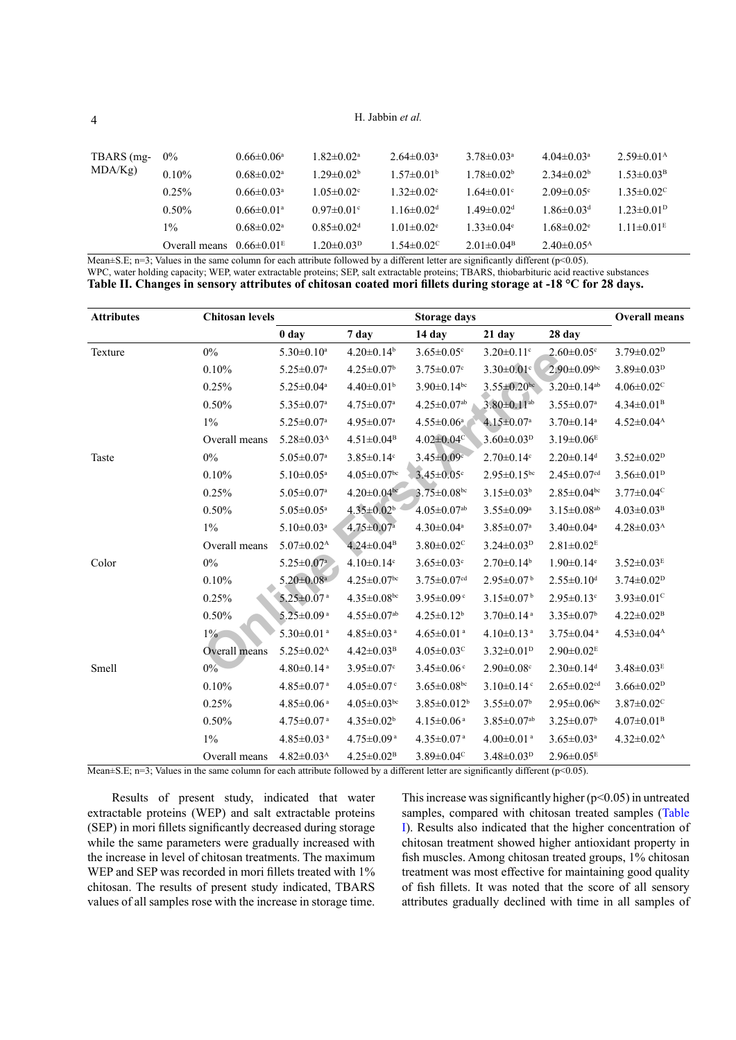H. Jabbin *et al.*

| TBARS (mg-<br>MDA/Kg | $0\%$                         | $0.66 \pm 0.06^a$            | $1.82 \pm 0.02^a$            | $2.64 \pm 0.03$ <sup>a</sup> | $3.78 \pm 0.03^a$            | $4.04 \pm 0.03$ <sup>a</sup> | $2.59 \pm 0.01^{\rm A}$      |
|----------------------|-------------------------------|------------------------------|------------------------------|------------------------------|------------------------------|------------------------------|------------------------------|
|                      | $0.10\%$                      | $0.68 \pm 0.02$ <sup>a</sup> | $1.29 \pm 0.02^b$            | $1.57 \pm 0.01^{\circ}$      | $1.78 \pm 0.02^b$            | $2.34\pm0.02b$               | $1.53 \pm 0.03^{\rm B}$      |
|                      | $0.25\%$                      | $0.66 \pm 0.03$ <sup>a</sup> | $1.05 \pm 0.02$ <sup>c</sup> | $1.32 \pm 0.02$ °            | $1.64 \pm 0.01$ °            | $2.09 \pm 0.05$ °            | $1.35 \pm 0.02$ °            |
|                      | $0.50\%$                      | $0.66 \pm 0.01$ <sup>a</sup> | $0.97 \pm 0.01$ °            | $1.16 \pm 0.02$ <sup>d</sup> | $1.49 \pm 0.02$ <sup>d</sup> | $1.86 \pm 0.03$ <sup>d</sup> | $1.23 \pm 0.01$ <sup>D</sup> |
|                      | $1\%$                         | $0.68 \pm 0.02$ <sup>a</sup> | $0.85 \pm 0.02$ <sup>d</sup> | $1.01 \pm 0.02$ <sup>e</sup> | $1.33 \pm 0.04$ <sup>e</sup> | $1.68 \pm 0.02$ °            | $1.11 \pm 0.01^E$            |
|                      | Overall means $0.66\pm0.01^E$ |                              | $1.20 \pm 0.03^p$            | $1.54 \pm 0.02$ <sup>c</sup> | $2.01 \pm 0.04^{\circ}$      | $2.40\pm0.05^{\rm A}$        |                              |

Mean $\pm$ S.E; n=3; Values in the same column for each attribute followed by a different letter are significantly different (p<0.05).

WPC, water holding capacity; WEP, water extractable proteins; SEP, salt extractable proteins; TBARS, thiobarbituric acid reactive substances

<span id="page-3-0"></span>**Table II. Changes in sensory attributes of chitosan coated mori fillets during storage at -18 °C for 28 days.**

| <b>Attributes</b> | <b>Chitosan levels</b> |                              |                               | <b>Storage days</b>           |                               |                               | <b>Overall means</b>         |
|-------------------|------------------------|------------------------------|-------------------------------|-------------------------------|-------------------------------|-------------------------------|------------------------------|
|                   |                        | 0 day                        | 7 day                         | 14 day                        | $21$ day                      | 28 day                        |                              |
| Texture           | $0\%$                  | $5.30 \pm 0.10^a$            | $4.20 \pm 0.14$ <sup>b</sup>  | $3.65 \pm 0.05$ °             | $3.20 \pm 0.11$ <sup>c</sup>  | $2.60 \pm 0.05$ c             | $3.79 \pm 0.02^p$            |
|                   | 0.10%                  | $5.25 \pm 0.07$ <sup>a</sup> | $4.25 \pm 0.07$ <sup>b</sup>  | $3.75 \pm 0.07$ c             | $3.30 \pm 0.01$ c             | $2.90\pm0.09$ bc              | $3.89 \pm 0.03^{D}$          |
|                   | 0.25%                  | $5.25 \pm 0.04$ <sup>a</sup> | $4.40 \pm 0.01$ <sup>b</sup>  | $3.90 \pm 0.14$ bc            | $3.55 \pm 0.20$ bc            | $3.20 \pm 0.14$ <sup>ab</sup> | $4.06 \pm 0.02$ <sup>C</sup> |
|                   | 0.50%                  | $5.35 \pm 0.07$ <sup>a</sup> | $4.75 \pm 0.07$ <sup>a</sup>  | $4.25 \pm 0.07$ <sup>ab</sup> | $3.80 \pm 0.11$ <sup>ab</sup> | $3.55 \pm 0.07^{\rm a}$       | $4.34 \pm 0.01^{\mathrm{B}}$ |
|                   | $1\%$                  | $5.25 \pm 0.07$ <sup>a</sup> | $4.95 \pm 0.07$ <sup>a</sup>  | $4.55 \pm 0.06^a$             | $4.15 \pm 0.07^a$             | $3.70 \pm 0.14$ <sup>a</sup>  | $4.52 \pm 0.04^{\text{A}}$   |
|                   | Overall means          | $5.28 \pm 0.03$ <sup>A</sup> | $4.51 \pm 0.04^{\rm B}$       | $4.02 \pm 0.04$ <sup>c</sup>  | $3.60 \pm 0.03^p$             | $3.19 \pm 0.06$ <sup>E</sup>  |                              |
| Taste             | $0\%$                  | $5.05 \pm 0.07$ <sup>a</sup> | $3.85 \pm 0.14$ <sup>c</sup>  | $3.45 \pm 0.09$ c             | $2.70 \pm 0.14$ c             | $2.20 \pm 0.14$ <sup>d</sup>  | $3.52 \pm 0.02^{\rm D}$      |
|                   | 0.10%                  | $5.10 \pm 0.05$ <sup>a</sup> | $4.05 \pm 0.07$ bc            | $3.45 \pm 0.05$ <sup>c</sup>  | $2.95 \pm 0.15$ <sup>bc</sup> | $2.45 \pm 0.07$ cd            | $3.56 \pm 0.01^{\text{D}}$   |
|                   | 0.25%                  | $5.05 \pm 0.07$ <sup>a</sup> | $4.20 \pm 0.04$ be            | $3.75 \pm 0.08$ bc            | $3.15 \pm 0.03^b$             | $2.85 \pm 0.04$ bc            | $3.77 \pm 0.04$ <sup>C</sup> |
|                   | 0.50%                  | $5.05 \pm 0.05$ <sup>a</sup> | $4.35 \pm 0.02^b$             | $4.05 \pm 0.07$ <sup>ab</sup> | $3.55 \pm 0.09^a$             | $3.15 \pm 0.08$ <sup>ab</sup> | $4.03 \pm 0.03$ <sup>B</sup> |
|                   | $1\%$                  | $5.10 \pm 0.03$ <sup>a</sup> | $4.75 \pm 0.07^{\rm a}$       | $4.30 \pm 0.04$ <sup>a</sup>  | $3.85 \pm 0.07$ <sup>a</sup>  | $3.40 \pm 0.04$ <sup>a</sup>  | $4.28 \pm 0.03^{\text{A}}$   |
|                   | Overall means          | $5.07 \pm 0.02^{\rm A}$      | $4.24 \pm 0.04^{\mathrm{B}}$  | $3.80 \pm 0.02$ <sup>C</sup>  | $3.24 \pm 0.03^{D}$           | $2.81 \pm 0.02$ <sup>E</sup>  |                              |
| Color             | $0\%$                  | $5.25 \pm 0.07$ <sup>a</sup> | $4.10 \pm 0.14$ <sup>c</sup>  | $3.65 \pm 0.03$ <sup>c</sup>  | $2.70 \pm 0.14$ <sup>b</sup>  | $1.90 \pm 0.14$ <sup>e</sup>  | $3.52 \pm 0.03^E$            |
|                   | 0.10%                  | $5.20 \pm 0.08$ <sup>a</sup> | $4.25 \pm 0.07$ <sup>bc</sup> | $3.75 \pm 0.07$ <sup>cd</sup> | $2.95 \pm 0.07^{\mathrm{b}}$  | $2.55 \pm 0.10$ <sup>d</sup>  | $3.74 \pm 0.02^p$            |
|                   | 0.25%                  | $5.25 \pm 0.07$ <sup>a</sup> | $4.35 \pm 0.08$ bc            | $3.95 \pm 0.09$ <sup>c</sup>  | $3.15 \pm 0.07^{\mathrm{b}}$  | $2.95 \pm 0.13$ <sup>c</sup>  | $3.93 \pm 0.01$ <sup>c</sup> |
|                   | 0.50%                  | $5.25 \pm 0.09$ <sup>a</sup> | $4.55 \pm 0.07$ <sup>ab</sup> | $4.25 \pm 0.12^b$             | $3.70 \pm 0.14$ <sup>a</sup>  | $3.35 \pm 0.07$ <sup>b</sup>  | $4.22 \pm 0.02^{\rm B}$      |
|                   | $1\%$                  | $5.30 \pm 0.01$ <sup>a</sup> | $4.85 \pm 0.03$ <sup>a</sup>  | $4.65 \pm 0.01$ <sup>a</sup>  | $4.10 \pm 0.13$ <sup>a</sup>  | $3.75 \pm 0.04$ <sup>a</sup>  | $4.53 \pm 0.04$ <sup>A</sup> |
|                   | Overall means          | $5.25 \pm 0.02^{\text{A}}$   | $4.42 \pm 0.03^{\rm B}$       | $4.05 \pm 0.03$ <sup>c</sup>  | $3.32 \pm 0.01^{\text{D}}$    | $2.90 \pm 0.02^E$             |                              |
| Smell             | $0\%$                  | $4.80 \pm 0.14$ <sup>a</sup> | $3.95 \pm 0.07$ <sup>c</sup>  | $3.45 \pm 0.06$ <sup>c</sup>  | $2.90 \pm 0.08$ c             | $2.30 \pm 0.14$ <sup>d</sup>  | $3.48 \pm 0.03^E$            |
|                   | 0.10%                  | $4.85 \pm 0.07$ <sup>a</sup> | $4.05 \pm 0.07$ <sup>c</sup>  | $3.65 \pm 0.08$ bc            | $3.10 \pm 0.14$ <sup>c</sup>  | $2.65 \pm 0.02$ cd            | $3.66 \pm 0.02^p$            |
|                   | 0.25%                  | $4.85 \pm 0.06$ <sup>a</sup> | $4.05 \pm 0.03$ bc            | $3.85 \pm 0.012^b$            | $3.55 \pm 0.07$ <sup>b</sup>  | $2.95 \pm 0.06$ bc            | $3.87 \pm 0.02$ <sup>C</sup> |
|                   | 0.50%                  | $4.75 \pm 0.07$ <sup>a</sup> | $4.35 \pm 0.02^b$             | $4.15 \pm 0.06$ <sup>a</sup>  | $3.85 \pm 0.07$ <sup>ab</sup> | $3.25 \pm 0.07$ <sup>b</sup>  | $4.07 \pm 0.01^{\rm B}$      |
|                   | $1\%$                  | $4.85 \pm 0.03$ <sup>a</sup> | $4.75 \pm 0.09$ <sup>a</sup>  | $4.35 \pm 0.07$ <sup>a</sup>  | $4.00 \pm 0.01$ <sup>a</sup>  | $3.65 \pm 0.03$ <sup>a</sup>  | $4.32 \pm 0.02^{\text{A}}$   |
|                   | Overall means          | $4.82 \pm 0.03^{\text{A}}$   | $4.25 \pm 0.02^{\rm B}$       | $3.89 \pm 0.04$ <sup>c</sup>  | $3.48 \pm 0.03^{\rm D}$       | $2.96 \pm 0.05^E$             |                              |

Mean $\pm$ S.E; n=3; Values in the same column for each attribute followed by a different letter are significantly different (p<0.05).

Results of present study, indicated that water extractable proteins (WEP) and salt extractable proteins (SEP) in mori fillets significantly decreased during storage while the same parameters were gradually increased with the increase in level of chitosan treatments. The maximum WEP and SEP was recorded in mori fillets treated with  $1\%$ chitosan. The results of present study indicated, TBARS values of all samples rose with the increase in storage time. This increase was significantly higher  $(p<0.05)$  in untreated samples, compared with chitosan treated samples (Table [I](#page-2-0)). Results also indicated that the higher concentration of chitosan treatment showed higher antioxidant property in fish muscles. Among chitosan treated groups, 1% chitosan treatment was most effective for maintaining good quality of fish fillets. It was noted that the score of all sensory attributes gradually declined with time in all samples of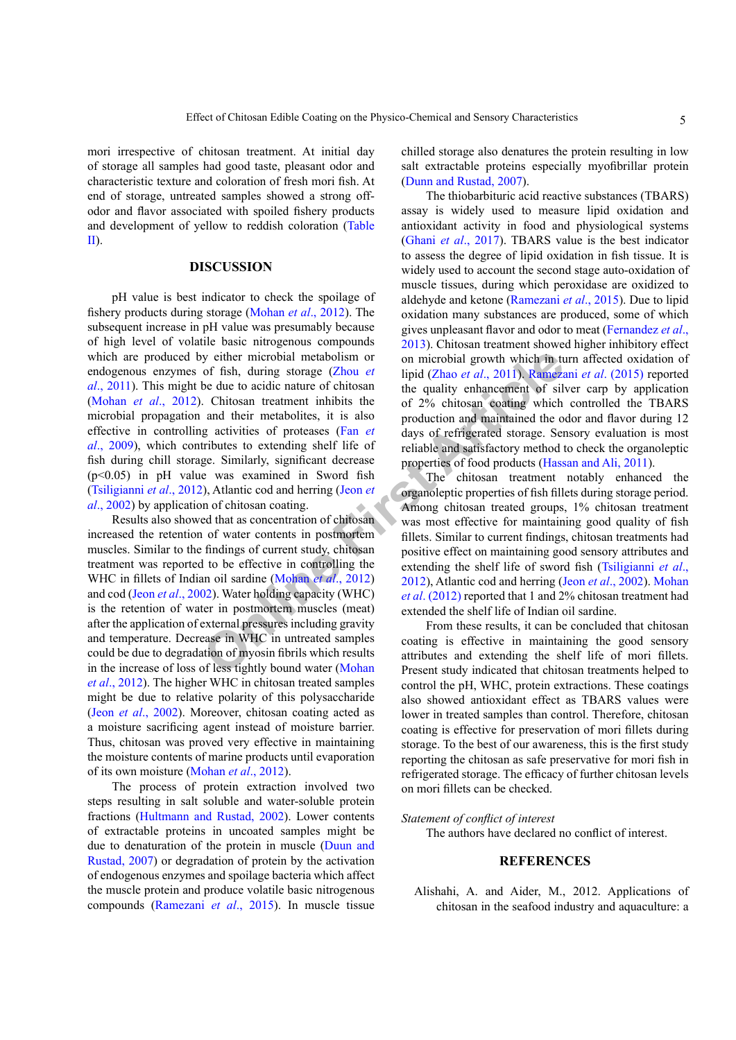mori irrespective of chitosan treatment. At initial day of storage all samples had good taste, pleasant odor and characteristic texture and coloration of fresh mori fish. At end of storage, untreated samples showed a strong offodor and flavor associated with spoiled fishery products and development of yellow to reddish coloration [\(Table](#page-3-0) [II](#page-3-0)).

## **DISCUSSION**

**Example 1** is the mic[r](#page-5-14)obial metabolism or<br>
by either microbial metabolism or<br>
be due to acide nature of chitosan<br>
chitach arti[cl](#page-6-7)ican are definited and their metabolites, it is also<br>
and their metabolites, it is also<br>
pro pH value is best indicator to check the spoilage of fishery products during storage [\(Mohan](#page-6-6) *et al*., 2012). The subsequent increase in pH value was presumably because of high level of volatile basic nitrogenous compounds which are produced by either microbial metabolism or endogenous enzymes of fish, during storage (Zhou *et al*[., 2011](#page-6-7)). This might be due to acidic nature of chitosan (Mohan *et al*[., 2012](#page-6-6)). Chitosan treatment inhibits the microbial propagation and their metabolites, it is also effective in controlling activities of proteases (Fan *et al*[., 2009](#page-5-9)), which contributes to extending shelf life of fish during chill storage. Similarly, significant decrease (p<0.05) in pH value was examined in Sword fish [\(Tsiligianni](#page-6-8) *et al*., 2012), Atlantic cod and herring (Jeon *et al*[., 2002](#page-5-14)) by application of chitosan coating.

Results also showed that as concentration of chitosan increased the retention of water contents in postmortem muscles. Similar to the findings of current study, chitosan treatment was reported to be effective in controlling the WHC in fillets of Indian oil sardine (Mohan *et al*., 2012) and cod (Jeon *et al*[., 2002\)](#page-5-14). Water holding capacity (WHC) is the retention of water in postmortem muscles (meat) after the application of external pressures including gravity and temperature. Decrease in WHC in untreated samples could be due to degradation of myosin fibrils which results in the increase of loss of less tightly bound water (Mohan *et al*[., 2012\)](#page-6-6). The higher WHC in chitosan treated samples might be due to relative polarity of this polysaccharide (Jeon *et al*[., 2002](#page-5-14)). Moreover, chitosan coating acted as a moisture sacrificing agent instead of moisture barrier. Thus, chitosan was proved very effective in maintaining the moisture contents of marine products until evaporation of its own moisture [\(Mohan](#page-6-6) *et al*., 2012).

The process of protein extraction involved two steps resulting in salt soluble and water-soluble protein fractions [\(Hultmann and Rustad, 2002\)](#page-5-15). Lower contents of extractable proteins in uncoated samples might be due to denaturation of the protein in muscle ([Duun and](#page-5-10) [Rustad, 2007](#page-5-10)) or degradation of protein by the activation of endogenous enzymes and spoilage bacteria which affect the muscle protein and produce volatile basic nitrogenous compounds ([Ramezani](#page-6-9) *et al*., 2015). In muscle tissue chilled storage also denatures the protein resulting in low salt extractable proteins especially myofibrillar protein [\(Dunn and Rustad, 2007\)](#page-5-10).

The thiobarbituric acid reactive substances (TBARS) assay is widely used to measure lipid oxidation and antioxidant activity in food and physiological systems (Ghani *et al*[., 2017](#page-5-16)). TBARS value is the best indicator to assess the degree of lipid oxidation in fish tissue. It is widely used to account the second stage auto-oxidation of muscle tissues, during which peroxidase are oxidized to aldehyde and ketone [\(Ramezani](#page-6-9) *et al*., 2015). Due to lipid oxidation many substances are produced, some of which gives unpleasant flavor and odor to meat (Fernandez *et al*., 2013). Chitosan treatment showed higher inhibitory effect on microbial growth which in turn affected oxidation of lipid (Zhao *et al*., 2011). [Ramezani](#page-6-9) *et al*. (2015) reported the quality enhancement of silver carp by application of 2% chitosan coating which controlled the TBARS production and maintained the odor and flavor during 12 days of refrigerated storage. Sensory evaluation is most reliable and satisfactory method to check the organoleptic properties of food products [\(Hassan and Ali, 2011](#page-5-17)).

The chitosan treatment notably enhanced the organoleptic properties of fish fillets during storage period. Among chitosan treated groups, 1% chitosan treatment was most effective for maintaining good quality of fish fillets. Similar to current findings, chitosan treatments had positive effect on maintaining good sensory attributes and extending the shelf life of sword fish ([Tsiligianni](#page-6-8) *et al*., 2012), Atlantic cod and herring (Jeon *et al*[., 2002\)](#page-5-14). [Mohan](#page-6-6) *et al*. (2012) reported that 1 and 2% chitosan treatment had extended the shelf life of Indian oil sardine.

From these results, it can be concluded that chitosan coating is effective in maintaining the good sensory attributes and extending the shelf life of mori fillets. Present study indicated that chitosan treatments helped to control the pH, WHC, protein extractions. These coatings also showed antioxidant effect as TBARS values were lower in treated samples than control. Therefore, chitosan coating is effective for preservation of mori fillets during storage. To the best of our awareness, this is the first study reporting the chitosan as safe preservative for mori fish in refrigerated storage. The efficacy of further chitosan levels on mori fillets can be checked.

## *Statement of conflict of interest*

The authors have declared no conflict of interest.

# **REFERENCES**

<span id="page-4-0"></span>Alishahi, A. and Aider, M., 2012. Applications of chitosan in the seafood industry and aquaculture: a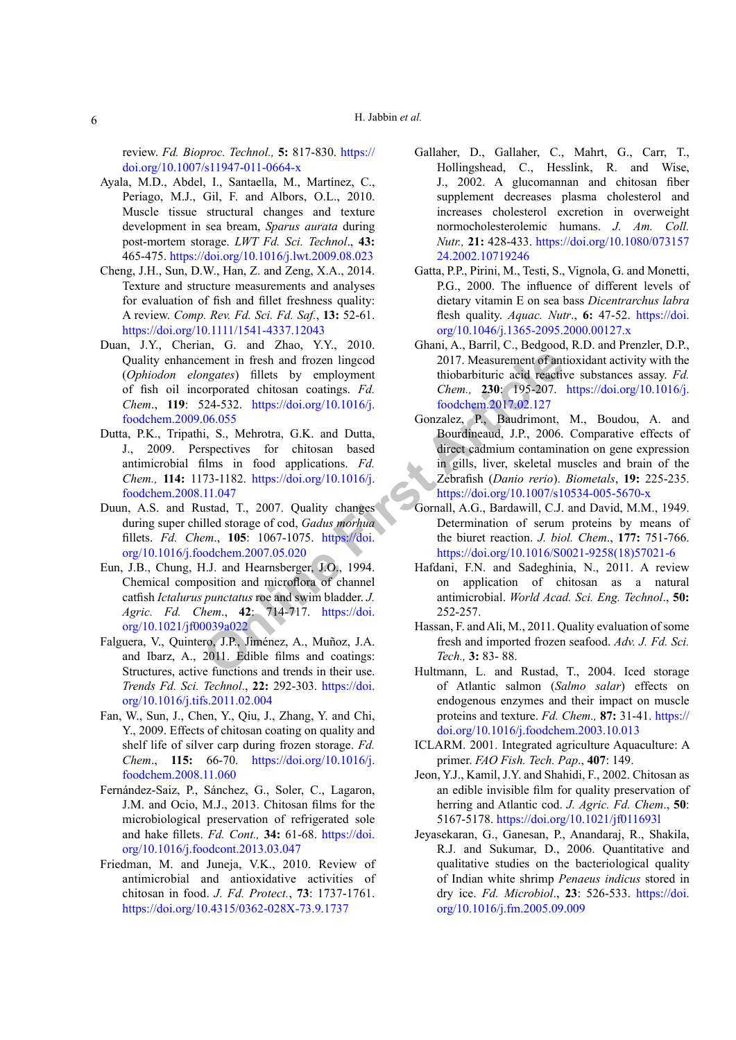review. *Fd. Bioproc. Technol.,* **5:** 817-830. [https://](https://doi.org/10.1007/s11947-011-0664-x) [doi.org/10.1007/s11947-011-0664-x](https://doi.org/10.1007/s11947-011-0664-x)

- Ayala, M.D., Abdel, I., Santaella, M., Martínez, C., Periago, M.J., Gil, F. and Albors, O.L., 2010. Muscle tissue structural changes and texture development in sea bream, *Sparus aurata* during post-mortem storage. *LWT Fd. Sci. Technol*., **43:** 465-475.<https://doi.org/10.1016/j.lwt.2009.08.023>
- <span id="page-5-13"></span>Cheng, J.H., Sun, D.W., Han, Z. and Zeng, X.A., 2014. Texture and structure measurements and analyses for evaluation of fish and fillet freshness quality: A review. *Comp. Rev. Fd. Sci. Fd. Saf.*, **13:** 52-61. <https://doi.org/10.1111/1541-4337.12043>
- <span id="page-5-4"></span>ment in fresh and frozen lingcod<br>
2017. Measurement of ant<br>
mgates) fillets by employment<br>
thiobarbituric acid reactive<br>
conceptraced chitosan coatings. *Fd.* Chem., 230: 795-207.<br>
206.655<br>
206.655<br>
206.655<br>
206.655<br>
206.6 Duan, J.Y., Cherian, G. and Zhao, Y.Y., 2010. Quality enhancement in fresh and frozen lingcod (*Ophiodon elongates*) fillets by employment of fish oil incorporated chitosan coatings. *Fd. Chem*., **119**: 524-532. https://doi.org/10.1016/j. [foodchem.2009.06.055](https://doi.org/10.1016/j.foodchem.2009.06.055)
- <span id="page-5-3"></span>Dutta, P.K., Tripathi, S., Mehrotra, G.K. and Dutta, J., 2009. Perspectives for chitosan based antimicrobial films in food applications. *Fd. Chem.,* **114:** 1173-1182. https://doi.org/10.1016/j. [foodchem.2008.11.047](https://doi.org/10.1016/j.foodchem.2008.11.047)
- <span id="page-5-10"></span>Duun, A.S. and Rustad, T., 2007. Quality changes during super chilled storage of cod, *Gadus morhua* fillets. *Fd. Chem*., **105**: 1067-1075. https://doi. [org/10.1016/j.foodchem.2007.05.020](https://doi.org/10.1016/j.foodchem.2007.05.020)
- <span id="page-5-8"></span>Eun, J.B., Chung, H.J. and Hearnsberger, J.O., 1994. Chemical composition and microflora of channel catfish *Ictalurus punctatus* roe and swim bladder. *J. Agric. Fd. Chem*., **42**: 714-717. https://doi. [org/10.1021/jf00039a022](https://doi.org/10.1021/jf00039a022)
- Falguera, V., Quintero, J.P., Jiménez, A., Muñoz, J.A. and Ibarz, A., 2011. Edible films and coatings: Structures, active functions and trends in their use. *Trends Fd. Sci. Technol*., **22:** 292-303. [https://doi.](https://doi.org/10.1016/j.tifs.2011.02.004) [org/10.1016/j.tifs.2011.02.004](https://doi.org/10.1016/j.tifs.2011.02.004)
- <span id="page-5-9"></span>Fan, W., Sun, J., Chen, Y., Qiu, J., Zhang, Y. and Chi, Y., 2009. Effects of chitosan coating on quality and shelf life of silver carp during frozen storage. *Fd. Chem*., **115:** 66-70. [https://doi.org/10.1016/j.](https://doi.org/10.1016/j.foodchem.2008.11.060) [foodchem.2008.11.060](https://doi.org/10.1016/j.foodchem.2008.11.060)
- Fernández-Saiz, P., Sánchez, G., Soler, C., Lagaron, J.M. and Ocio, M.J., 2013. Chitosan films for the microbiological preservation of refrigerated sole and hake fillets. *Fd. Cont.,* **34:** 61-68. [https://doi.](https://doi.org/10.1016/j.foodcont.2013.03.047) [org/10.1016/j.foodcont.2013.03.047](https://doi.org/10.1016/j.foodcont.2013.03.047)
- <span id="page-5-1"></span>Friedman, M. and Juneja, V.K., 2010. Review of antimicrobial and antioxidative activities of chitosan in food. *J. Fd. Protect.*, **73**: 1737-1761. <https://doi.org/10.4315/0362-028X-73.9.1737>
- <span id="page-5-2"></span>Gallaher, D., Gallaher, C., Mahrt, G., Carr, T., Hollingshead, C., Hesslink, R. and Wise, J., 2002. A glucomannan and chitosan fiber supplement decreases plasma cholesterol and increases cholesterol excretion in overweight normocholesterolemic humans. *J. Am. Coll. Nutr.,* **21:** 428-433. [https://doi.org/10.1080/073157](https://doi.org/10.1080/07315724.2002.10719246) [24.2002.10719246](https://doi.org/10.1080/07315724.2002.10719246)
- <span id="page-5-12"></span>Gatta, P.P., Pirini, M., Testi, S., Vignola, G. and Monetti, P.G., 2000. The influence of different levels of dietary vitamin E on sea bass *Dicentrarchus labra*  flesh quality. *Aquac. Nutr*., **6:** 47-52. [https://doi.](https://doi.org/10.1046/j.1365-2095.2000.00127.x) [org/10.1046/j.1365-2095.2000.00127.x](https://doi.org/10.1046/j.1365-2095.2000.00127.x)
- <span id="page-5-16"></span>Ghani, A., Barril, C., Bedgood, R.D. and Prenzler, D.P., 2017. Measurement of antioxidant activity with the thiobarbituric acid reactive substances assay. *Fd. Chem.,* **230**: 195-207. [https://doi.org/10.1016/j.](https://doi.org/10.1016/j.foodchem.2017.02.127) foodchem.2017.02.127
- <span id="page-5-6"></span>Gonzalez, P., Baudrimont, M., Boudou, A. and Bourdineaud, J.P., 2006. Comparative effects of direct cadmium contamination on gene expression in gills, liver, skeletal muscles and brain of the Zebrafish (*Danio rerio*). *Biometals*, **19:** 225-235. <https://doi.org/10.1007/s10534-005-5670-x>
- <span id="page-5-11"></span>Gornall, A.G., Bardawill, C.J. and David, M.M., 1949. Determination of serum proteins by means of the biuret reaction. *J. biol. Chem*., **177:** 751-766. [https://doi.org/10.1016/S0021-9258\(18\)57021-6](https://doi.org/10.1016/S0021-9258(18)57021-6)
- <span id="page-5-5"></span>Hafdani, F.N. and Sadeghinia, N., 2011. A review on application of chitosan as a natural antimicrobial. *World Acad. Sci. Eng. Technol*., **50:** 252-257.
- <span id="page-5-17"></span>Hassan, F. and Ali, M., 2011. Quality evaluation of some fresh and imported frozen seafood. *Adv. J. Fd. Sci. Tech.,* **3:** 83- 88.
- <span id="page-5-15"></span>Hultmann, L. and Rustad, T., 2004. Iced storage of Atlantic salmon (*Salmo salar*) effects on endogenous enzymes and their impact on muscle proteins and texture. *Fd. Chem.,* **87:** 31-41. [https://](https://doi.org/10.1016/j.foodchem.2003.10.013) [doi.org/10.1016/j.foodchem.2003.10.013](https://doi.org/10.1016/j.foodchem.2003.10.013)
- <span id="page-5-7"></span>ICLARM. 2001. Integrated agriculture Aquaculture: A primer. *FAO Fish. Tech. Pap*., **407**: 149.
- <span id="page-5-14"></span>Jeon, Y.J., Kamil, J.Y. and Shahidi, F., 2002. Chitosan as an edible invisible film for quality preservation of herring and Atlantic cod. *J. Agric. Fd. Chem*., **50**: 5167-5178. <https://doi.org/10.1021/jf011693l>
- <span id="page-5-0"></span>Jeyasekaran, G., Ganesan, P., Anandaraj, R., Shakila, R.J. and Sukumar, D., 2006. Quantitative and qualitative studies on the bacteriological quality of Indian white shrimp *Penaeus indicus* stored in dry ice. *Fd. Microbiol*., **23**: 526-533. [https://doi.](https://doi.org/10.1016/j.fm.2005.09.009) [org/10.1016/j.fm.2005.09.009](https://doi.org/10.1016/j.fm.2005.09.009)